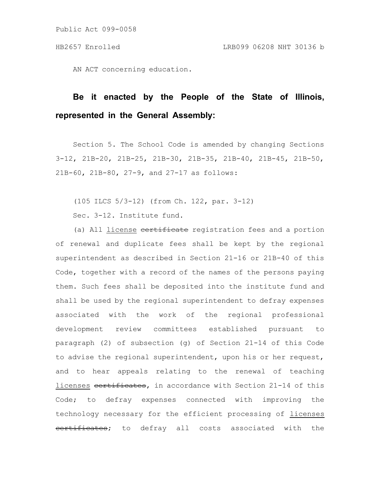AN ACT concerning education.

# **Be it enacted by the People of the State of Illinois, represented in the General Assembly:**

Section 5. The School Code is amended by changing Sections 3-12, 21B-20, 21B-25, 21B-30, 21B-35, 21B-40, 21B-45, 21B-50, 21B-60, 21B-80, 27-9, and 27-17 as follows:

(105 ILCS 5/3-12) (from Ch. 122, par. 3-12) Sec. 3-12. Institute fund.

(a) All license **eertificate** registration fees and a portion of renewal and duplicate fees shall be kept by the regional superintendent as described in Section 21-16 or 21B-40 of this Code, together with a record of the names of the persons paying them. Such fees shall be deposited into the institute fund and shall be used by the regional superintendent to defray expenses associated with the work of the regional professional development review committees established pursuant to paragraph (2) of subsection (g) of Section 21-14 of this Code to advise the regional superintendent, upon his or her request, and to hear appeals relating to the renewal of teaching licenses eertificates, in accordance with Section 21-14 of this Code; to defray expenses connected with improving the technology necessary for the efficient processing of licenses eertificates; to defray all costs associated with the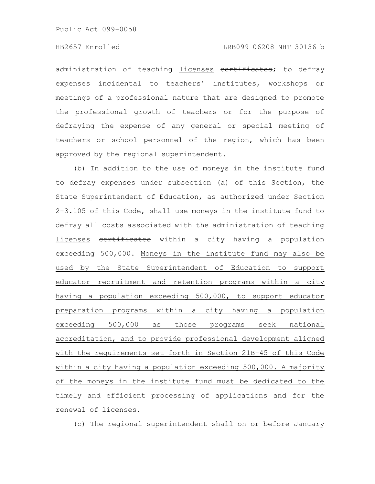administration of teaching licenses eertificates; to defray expenses incidental to teachers' institutes, workshops or meetings of a professional nature that are designed to promote the professional growth of teachers or for the purpose of defraying the expense of any general or special meeting of teachers or school personnel of the region, which has been approved by the regional superintendent.

(b) In addition to the use of moneys in the institute fund to defray expenses under subsection (a) of this Section, the State Superintendent of Education, as authorized under Section 2-3.105 of this Code, shall use moneys in the institute fund to defray all costs associated with the administration of teaching licenses eertificates within a city having a population exceeding 500,000. Moneys in the institute fund may also be used by the State Superintendent of Education to support educator recruitment and retention programs within a city having a population exceeding 500,000, to support educator preparation programs within a city having a population exceeding 500,000 as those programs seek national accreditation, and to provide professional development aligned with the requirements set forth in Section 21B-45 of this Code within a city having a population exceeding 500,000. A majority of the moneys in the institute fund must be dedicated to the timely and efficient processing of applications and for the renewal of licenses.

(c) The regional superintendent shall on or before January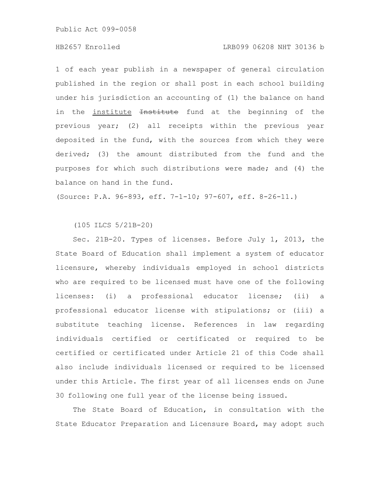# HB2657 Enrolled LRB099 06208 NHT 30136 b

1 of each year publish in a newspaper of general circulation published in the region or shall post in each school building under his jurisdiction an accounting of (1) the balance on hand in the institute Institute fund at the beginning of the previous year; (2) all receipts within the previous year deposited in the fund, with the sources from which they were derived; (3) the amount distributed from the fund and the purposes for which such distributions were made; and (4) the balance on hand in the fund.

(Source: P.A. 96-893, eff. 7-1-10; 97-607, eff. 8-26-11.)

(105 ILCS 5/21B-20)

Sec. 21B-20. Types of licenses. Before July 1, 2013, the State Board of Education shall implement a system of educator licensure, whereby individuals employed in school districts who are required to be licensed must have one of the following licenses: (i) a professional educator license; (ii) a professional educator license with stipulations; or (iii) a substitute teaching license. References in law regarding individuals certified or certificated or required to be certified or certificated under Article 21 of this Code shall also include individuals licensed or required to be licensed under this Article. The first year of all licenses ends on June 30 following one full year of the license being issued.

The State Board of Education, in consultation with the State Educator Preparation and Licensure Board, may adopt such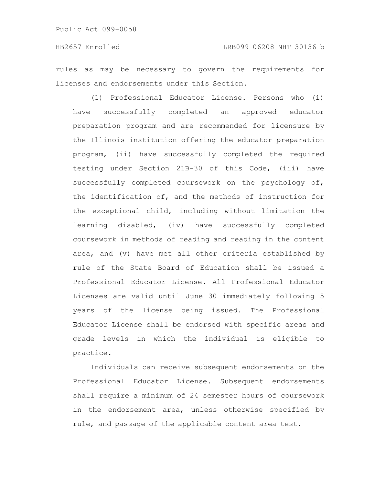rules as may be necessary to govern the requirements for licenses and endorsements under this Section.

(1) Professional Educator License. Persons who (i) have successfully completed an approved educator preparation program and are recommended for licensure by the Illinois institution offering the educator preparation program, (ii) have successfully completed the required testing under Section 21B-30 of this Code, (iii) have successfully completed coursework on the psychology of, the identification of, and the methods of instruction for the exceptional child, including without limitation the learning disabled, (iv) have successfully completed coursework in methods of reading and reading in the content area, and (v) have met all other criteria established by rule of the State Board of Education shall be issued a Professional Educator License. All Professional Educator Licenses are valid until June 30 immediately following 5 years of the license being issued. The Professional Educator License shall be endorsed with specific areas and grade levels in which the individual is eligible to practice.

Individuals can receive subsequent endorsements on the Professional Educator License. Subsequent endorsements shall require a minimum of 24 semester hours of coursework in the endorsement area, unless otherwise specified by rule, and passage of the applicable content area test.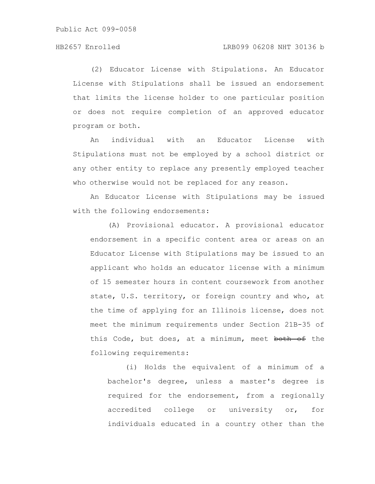(2) Educator License with Stipulations. An Educator License with Stipulations shall be issued an endorsement that limits the license holder to one particular position or does not require completion of an approved educator program or both.

An individual with an Educator License with Stipulations must not be employed by a school district or any other entity to replace any presently employed teacher who otherwise would not be replaced for any reason.

An Educator License with Stipulations may be issued with the following endorsements:

(A) Provisional educator. A provisional educator endorsement in a specific content area or areas on an Educator License with Stipulations may be issued to an applicant who holds an educator license with a minimum of 15 semester hours in content coursework from another state, U.S. territory, or foreign country and who, at the time of applying for an Illinois license, does not meet the minimum requirements under Section 21B-35 of this Code, but does, at a minimum, meet both of the following requirements:

(i) Holds the equivalent of a minimum of a bachelor's degree, unless a master's degree is required for the endorsement, from a regionally accredited college or university or, for individuals educated in a country other than the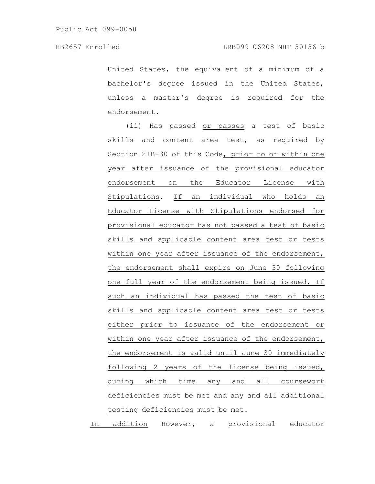United States, the equivalent of a minimum of a bachelor's degree issued in the United States, unless a master's degree is required for the endorsement.

(ii) Has passed or passes a test of basic skills and content area test, as required by Section 21B-30 of this Code, prior to or within one year after issuance of the provisional educator endorsement on the Educator License with Stipulations. If an individual who holds an Educator License with Stipulations endorsed for provisional educator has not passed a test of basic skills and applicable content area test or tests within one year after issuance of the endorsement, the endorsement shall expire on June 30 following one full year of the endorsement being issued. If such an individual has passed the test of basic skills and applicable content area test or tests either prior to issuance of the endorsement or within one year after issuance of the endorsement, the endorsement is valid until June 30 immediately following 2 years of the license being issued, during which time any and all coursework deficiencies must be met and any and all additional testing deficiencies must be met.

In addition However, a provisional educator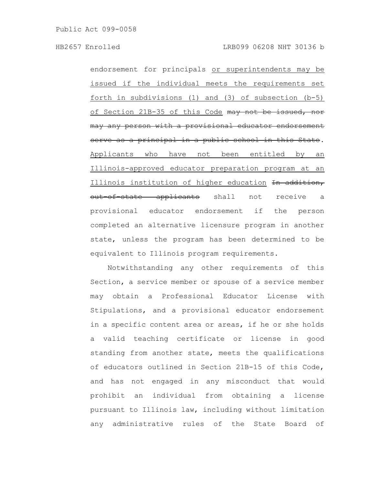endorsement for principals or superintendents may be issued if the individual meets the requirements set forth in subdivisions (1) and (3) of subsection (b-5) of Section 21B-35 of this Code may not be issued, may any person with a provisional educator endorsement serve as a principal in a public school in this State. Applicants who have not been entitled by an Illinois-approved educator preparation program at an Illinois institution of higher education In addition, out of state applicants shall not receive a provisional educator endorsement if the person completed an alternative licensure program in another state, unless the program has been determined to be equivalent to Illinois program requirements.

Notwithstanding any other requirements of this Section, a service member or spouse of a service member may obtain a Professional Educator License with Stipulations, and a provisional educator endorsement in a specific content area or areas, if he or she holds a valid teaching certificate or license in good standing from another state, meets the qualifications of educators outlined in Section 21B-15 of this Code, and has not engaged in any misconduct that would prohibit an individual from obtaining a license pursuant to Illinois law, including without limitation any administrative rules of the State Board of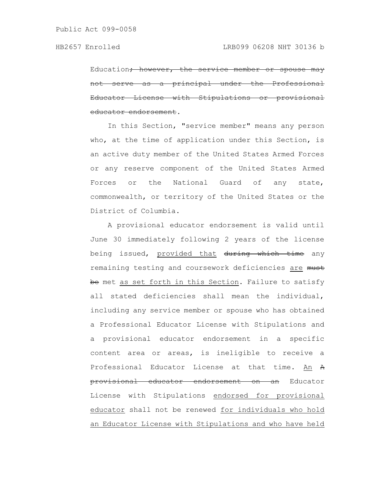Education<del>; however, the service member</del> serve as a principal under the Educator License with Stipulations educator endorsement.

In this Section, "service member" means any person who, at the time of application under this Section, is an active duty member of the United States Armed Forces or any reserve component of the United States Armed Forces or the National Guard of any state, commonwealth, or territory of the United States or the District of Columbia.

A provisional educator endorsement is valid until June 30 immediately following 2 years of the license being issued, provided that during which time any remaining testing and coursework deficiencies are must be met as set forth in this Section. Failure to satisfy all stated deficiencies shall mean the individual, including any service member or spouse who has obtained a Professional Educator License with Stipulations and a provisional educator endorsement in a specific content area or areas, is ineligible to receive a Professional Educator License at that time. An A provisional educator endorsement on an Educator License with Stipulations endorsed for provisional educator shall not be renewed for individuals who hold an Educator License with Stipulations and who have held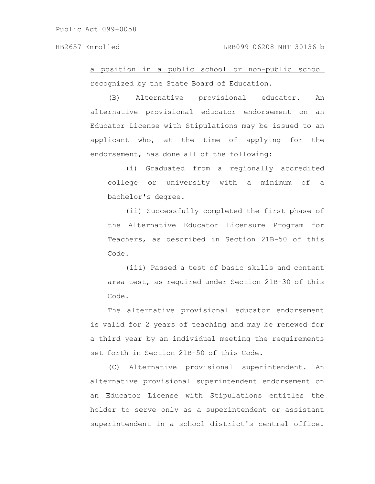a position in a public school or non-public school recognized by the State Board of Education.

(B) Alternative provisional educator. An alternative provisional educator endorsement on an Educator License with Stipulations may be issued to an applicant who, at the time of applying for the endorsement, has done all of the following:

(i) Graduated from a regionally accredited college or university with a minimum of a bachelor's degree.

(ii) Successfully completed the first phase of the Alternative Educator Licensure Program for Teachers, as described in Section 21B-50 of this Code.

(iii) Passed a test of basic skills and content area test, as required under Section 21B-30 of this Code.

The alternative provisional educator endorsement is valid for 2 years of teaching and may be renewed for a third year by an individual meeting the requirements set forth in Section 21B-50 of this Code.

(C) Alternative provisional superintendent. An alternative provisional superintendent endorsement on an Educator License with Stipulations entitles the holder to serve only as a superintendent or assistant superintendent in a school district's central office.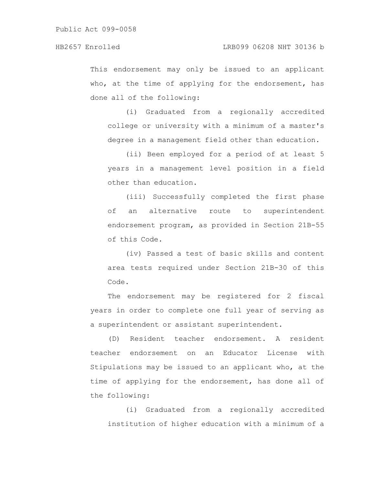This endorsement may only be issued to an applicant who, at the time of applying for the endorsement, has done all of the following:

(i) Graduated from a regionally accredited college or university with a minimum of a master's degree in a management field other than education.

(ii) Been employed for a period of at least 5 years in a management level position in a field other than education.

(iii) Successfully completed the first phase of an alternative route to superintendent endorsement program, as provided in Section 21B-55 of this Code.

(iv) Passed a test of basic skills and content area tests required under Section 21B-30 of this Code.

The endorsement may be registered for 2 fiscal years in order to complete one full year of serving as a superintendent or assistant superintendent.

(D) Resident teacher endorsement. A resident teacher endorsement on an Educator License with Stipulations may be issued to an applicant who, at the time of applying for the endorsement, has done all of the following:

(i) Graduated from a regionally accredited institution of higher education with a minimum of a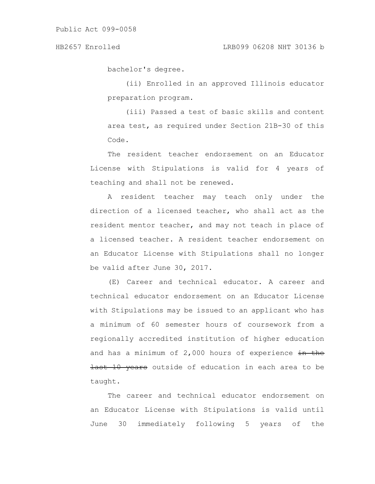bachelor's degree.

(ii) Enrolled in an approved Illinois educator preparation program.

(iii) Passed a test of basic skills and content area test, as required under Section 21B-30 of this Code.

The resident teacher endorsement on an Educator License with Stipulations is valid for 4 years of teaching and shall not be renewed.

A resident teacher may teach only under the direction of a licensed teacher, who shall act as the resident mentor teacher, and may not teach in place of a licensed teacher. A resident teacher endorsement on an Educator License with Stipulations shall no longer be valid after June 30, 2017.

(E) Career and technical educator. A career and technical educator endorsement on an Educator License with Stipulations may be issued to an applicant who has a minimum of 60 semester hours of coursework from a regionally accredited institution of higher education and has a minimum of  $2,000$  hours of experience  $\frac{1}{2}$  the last 10 years outside of education in each area to be taught.

The career and technical educator endorsement on an Educator License with Stipulations is valid until June 30 immediately following 5 years of the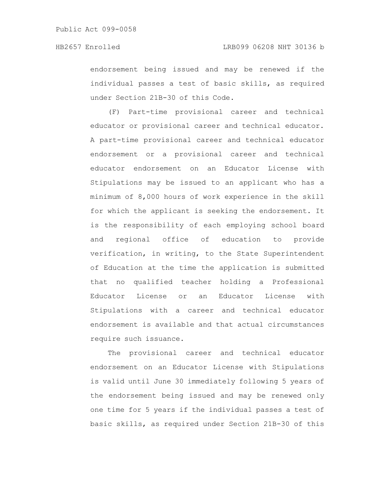endorsement being issued and may be renewed if the individual passes a test of basic skills, as required under Section 21B-30 of this Code.

(F) Part-time provisional career and technical educator or provisional career and technical educator. A part-time provisional career and technical educator endorsement or a provisional career and technical educator endorsement on an Educator License with Stipulations may be issued to an applicant who has a minimum of 8,000 hours of work experience in the skill for which the applicant is seeking the endorsement. It is the responsibility of each employing school board and regional office of education to provide verification, in writing, to the State Superintendent of Education at the time the application is submitted that no qualified teacher holding a Professional Educator License or an Educator License with Stipulations with a career and technical educator endorsement is available and that actual circumstances require such issuance.

The provisional career and technical educator endorsement on an Educator License with Stipulations is valid until June 30 immediately following 5 years of the endorsement being issued and may be renewed only one time for 5 years if the individual passes a test of basic skills, as required under Section 21B-30 of this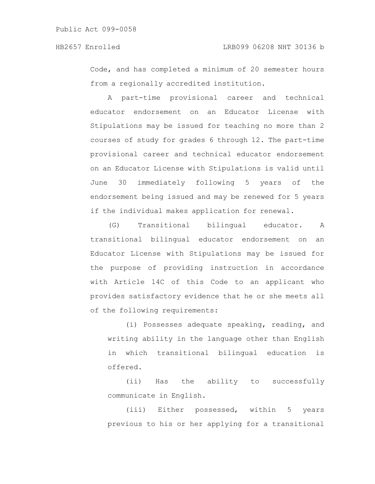Code, and has completed a minimum of 20 semester hours from a regionally accredited institution.

A part-time provisional career and technical educator endorsement on an Educator License with Stipulations may be issued for teaching no more than 2 courses of study for grades 6 through 12. The part-time provisional career and technical educator endorsement on an Educator License with Stipulations is valid until June 30 immediately following 5 years of the endorsement being issued and may be renewed for 5 years if the individual makes application for renewal.

(G) Transitional bilingual educator. A transitional bilingual educator endorsement on an Educator License with Stipulations may be issued for the purpose of providing instruction in accordance with Article 14C of this Code to an applicant who provides satisfactory evidence that he or she meets all of the following requirements:

(i) Possesses adequate speaking, reading, and writing ability in the language other than English in which transitional bilingual education is offered.

(ii) Has the ability to successfully communicate in English.

(iii) Either possessed, within 5 years previous to his or her applying for a transitional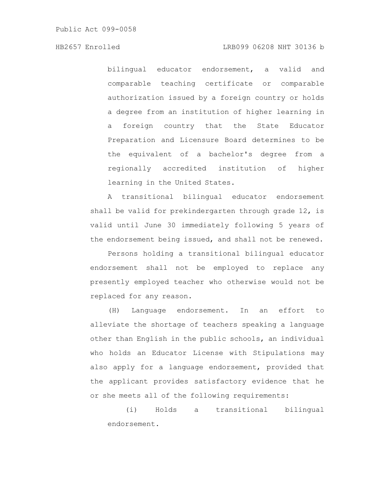bilingual educator endorsement, a valid and comparable teaching certificate or comparable authorization issued by a foreign country or holds a degree from an institution of higher learning in a foreign country that the State Educator Preparation and Licensure Board determines to be the equivalent of a bachelor's degree from a regionally accredited institution of higher learning in the United States.

A transitional bilingual educator endorsement shall be valid for prekindergarten through grade 12, is valid until June 30 immediately following 5 years of the endorsement being issued, and shall not be renewed.

Persons holding a transitional bilingual educator endorsement shall not be employed to replace any presently employed teacher who otherwise would not be replaced for any reason.

(H) Language endorsement. In an effort to alleviate the shortage of teachers speaking a language other than English in the public schools, an individual who holds an Educator License with Stipulations may also apply for a language endorsement, provided that the applicant provides satisfactory evidence that he or she meets all of the following requirements:

(i) Holds a transitional bilingual endorsement.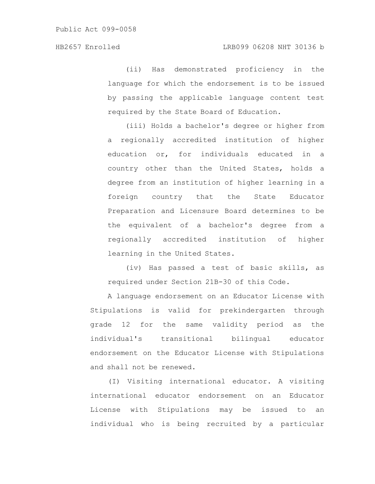(ii) Has demonstrated proficiency in the language for which the endorsement is to be issued by passing the applicable language content test required by the State Board of Education.

(iii) Holds a bachelor's degree or higher from a regionally accredited institution of higher education or, for individuals educated in a country other than the United States, holds a degree from an institution of higher learning in a foreign country that the State Educator Preparation and Licensure Board determines to be the equivalent of a bachelor's degree from a regionally accredited institution of higher learning in the United States.

(iv) Has passed a test of basic skills, as required under Section 21B-30 of this Code.

A language endorsement on an Educator License with Stipulations is valid for prekindergarten through grade 12 for the same validity period as the individual's transitional bilingual educator endorsement on the Educator License with Stipulations and shall not be renewed.

(I) Visiting international educator. A visiting international educator endorsement on an Educator License with Stipulations may be issued to an individual who is being recruited by a particular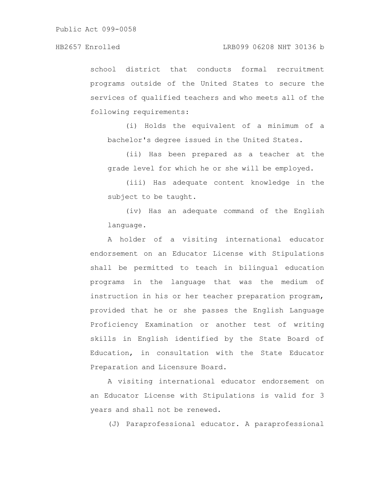school district that conducts formal recruitment programs outside of the United States to secure the services of qualified teachers and who meets all of the following requirements:

(i) Holds the equivalent of a minimum of a bachelor's degree issued in the United States.

(ii) Has been prepared as a teacher at the grade level for which he or she will be employed.

(iii) Has adequate content knowledge in the subject to be taught.

(iv) Has an adequate command of the English language.

A holder of a visiting international educator endorsement on an Educator License with Stipulations shall be permitted to teach in bilingual education programs in the language that was the medium of instruction in his or her teacher preparation program, provided that he or she passes the English Language Proficiency Examination or another test of writing skills in English identified by the State Board of Education, in consultation with the State Educator Preparation and Licensure Board.

A visiting international educator endorsement on an Educator License with Stipulations is valid for 3 years and shall not be renewed.

(J) Paraprofessional educator. A paraprofessional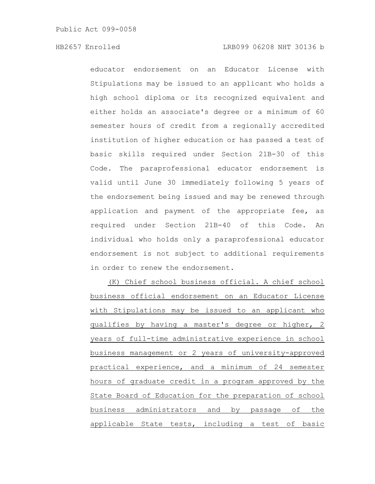educator endorsement on an Educator License with Stipulations may be issued to an applicant who holds a high school diploma or its recognized equivalent and either holds an associate's degree or a minimum of 60 semester hours of credit from a regionally accredited institution of higher education or has passed a test of basic skills required under Section 21B-30 of this Code. The paraprofessional educator endorsement is valid until June 30 immediately following 5 years of the endorsement being issued and may be renewed through application and payment of the appropriate fee, as required under Section 21B-40 of this Code. An individual who holds only a paraprofessional educator endorsement is not subject to additional requirements in order to renew the endorsement.

(K) Chief school business official. A chief school business official endorsement on an Educator License with Stipulations may be issued to an applicant who qualifies by having a master's degree or higher, 2 years of full-time administrative experience in school business management or 2 years of university-approved practical experience, and a minimum of 24 semester hours of graduate credit in a program approved by the State Board of Education for the preparation of school business administrators and by passage of the applicable State tests, including a test of basic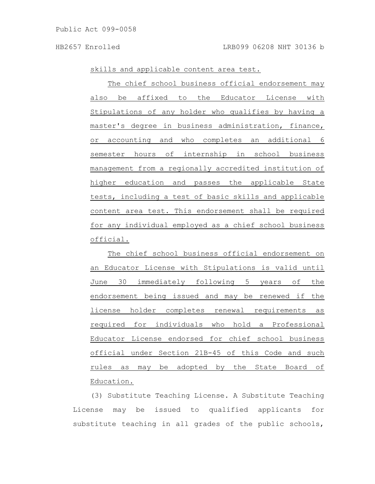skills and applicable content area test.

The chief school business official endorsement may also be affixed to the Educator License with Stipulations of any holder who qualifies by having a master's degree in business administration, finance, or accounting and who completes an additional 6 semester hours of internship in school business management from a regionally accredited institution of higher education and passes the applicable State tests, including a test of basic skills and applicable content area test. This endorsement shall be required for any individual employed as a chief school business official.

The chief school business official endorsement on an Educator License with Stipulations is valid until June 30 immediately following 5 years of the endorsement being issued and may be renewed if the license holder completes renewal requirements as required for individuals who hold a Professional Educator License endorsed for chief school business official under Section 21B-45 of this Code and such rules as may be adopted by the State Board of Education.

(3) Substitute Teaching License. A Substitute Teaching License may be issued to qualified applicants for substitute teaching in all grades of the public schools,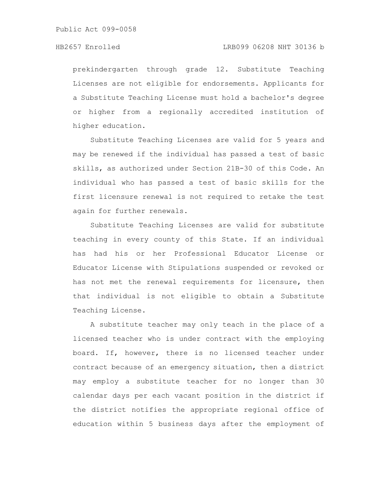prekindergarten through grade 12. Substitute Teaching Licenses are not eligible for endorsements. Applicants for a Substitute Teaching License must hold a bachelor's degree or higher from a regionally accredited institution of higher education.

Substitute Teaching Licenses are valid for 5 years and may be renewed if the individual has passed a test of basic skills, as authorized under Section 21B-30 of this Code. An individual who has passed a test of basic skills for the first licensure renewal is not required to retake the test again for further renewals.

Substitute Teaching Licenses are valid for substitute teaching in every county of this State. If an individual has had his or her Professional Educator License or Educator License with Stipulations suspended or revoked or has not met the renewal requirements for licensure, then that individual is not eligible to obtain a Substitute Teaching License.

A substitute teacher may only teach in the place of a licensed teacher who is under contract with the employing board. If, however, there is no licensed teacher under contract because of an emergency situation, then a district may employ a substitute teacher for no longer than 30 calendar days per each vacant position in the district if the district notifies the appropriate regional office of education within 5 business days after the employment of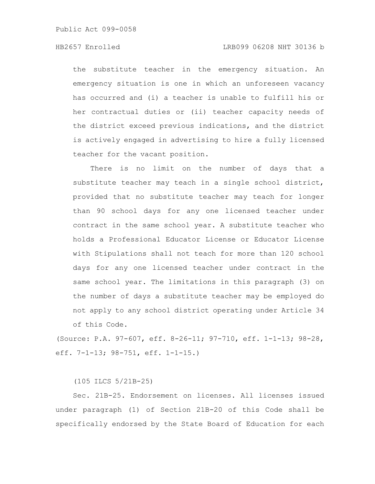the substitute teacher in the emergency situation. An emergency situation is one in which an unforeseen vacancy has occurred and (i) a teacher is unable to fulfill his or her contractual duties or (ii) teacher capacity needs of the district exceed previous indications, and the district is actively engaged in advertising to hire a fully licensed teacher for the vacant position.

There is no limit on the number of days that a substitute teacher may teach in a single school district, provided that no substitute teacher may teach for longer than 90 school days for any one licensed teacher under contract in the same school year. A substitute teacher who holds a Professional Educator License or Educator License with Stipulations shall not teach for more than 120 school days for any one licensed teacher under contract in the same school year. The limitations in this paragraph (3) on the number of days a substitute teacher may be employed do not apply to any school district operating under Article 34 of this Code.

(Source: P.A. 97-607, eff. 8-26-11; 97-710, eff. 1-1-13; 98-28, eff. 7-1-13; 98-751, eff. 1-1-15.)

(105 ILCS 5/21B-25)

Sec. 21B-25. Endorsement on licenses. All licenses issued under paragraph (1) of Section 21B-20 of this Code shall be specifically endorsed by the State Board of Education for each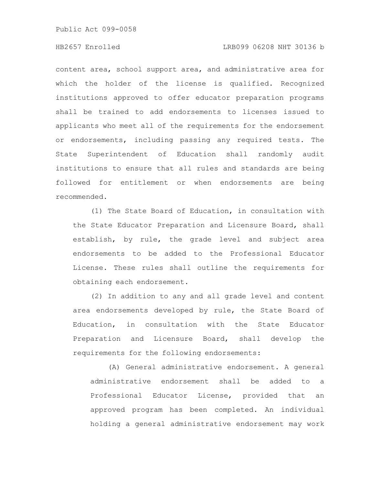# HB2657 Enrolled LRB099 06208 NHT 30136 b

content area, school support area, and administrative area for which the holder of the license is qualified. Recognized institutions approved to offer educator preparation programs shall be trained to add endorsements to licenses issued to applicants who meet all of the requirements for the endorsement or endorsements, including passing any required tests. The State Superintendent of Education shall randomly audit institutions to ensure that all rules and standards are being followed for entitlement or when endorsements are being recommended.

(1) The State Board of Education, in consultation with the State Educator Preparation and Licensure Board, shall establish, by rule, the grade level and subject area endorsements to be added to the Professional Educator License. These rules shall outline the requirements for obtaining each endorsement.

(2) In addition to any and all grade level and content area endorsements developed by rule, the State Board of Education, in consultation with the State Educator Preparation and Licensure Board, shall develop the requirements for the following endorsements:

(A) General administrative endorsement. A general administrative endorsement shall be added to a Professional Educator License, provided that an approved program has been completed. An individual holding a general administrative endorsement may work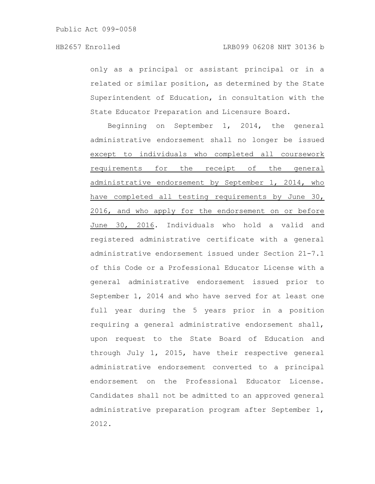only as a principal or assistant principal or in a related or similar position, as determined by the State Superintendent of Education, in consultation with the State Educator Preparation and Licensure Board.

Beginning on September 1, 2014, the general administrative endorsement shall no longer be issued except to individuals who completed all coursework requirements for the receipt of the general administrative endorsement by September 1, 2014, who have completed all testing requirements by June 30, 2016, and who apply for the endorsement on or before June 30, 2016. Individuals who hold a valid and registered administrative certificate with a general administrative endorsement issued under Section 21-7.1 of this Code or a Professional Educator License with a general administrative endorsement issued prior to September 1, 2014 and who have served for at least one full year during the 5 years prior in a position requiring a general administrative endorsement shall, upon request to the State Board of Education and through July 1, 2015, have their respective general administrative endorsement converted to a principal endorsement on the Professional Educator License. Candidates shall not be admitted to an approved general administrative preparation program after September 1, 2012.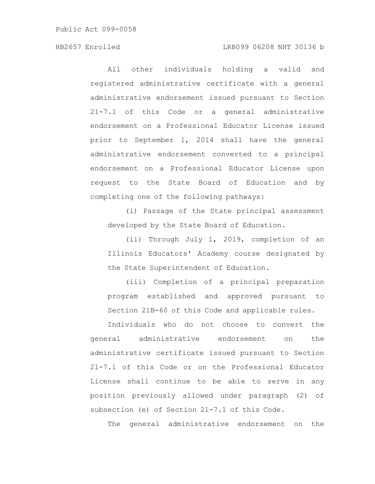All other individuals holding a valid and registered administrative certificate with a general administrative endorsement issued pursuant to Section 21-7.1 of this Code or a general administrative endorsement on a Professional Educator License issued prior to September 1, 2014 shall have the general administrative endorsement converted to a principal endorsement on a Professional Educator License upon request to the State Board of Education and by completing one of the following pathways:

(i) Passage of the State principal assessment developed by the State Board of Education.

(ii) Through July 1, 2019, completion of an Illinois Educators' Academy course designated by the State Superintendent of Education.

(iii) Completion of a principal preparation program established and approved pursuant to Section 21B-60 of this Code and applicable rules.

Individuals who do not choose to convert the general administrative endorsement on the administrative certificate issued pursuant to Section 21-7.1 of this Code or on the Professional Educator License shall continue to be able to serve in any position previously allowed under paragraph (2) of subsection (e) of Section 21-7.1 of this Code.

The general administrative endorsement on the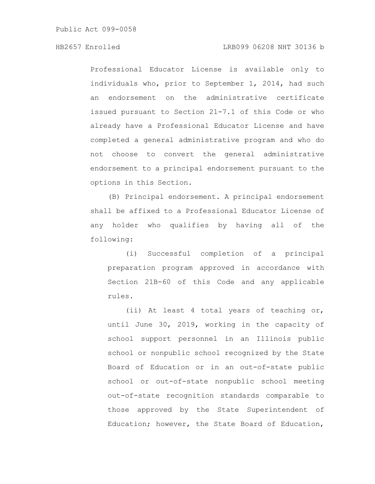Professional Educator License is available only to individuals who, prior to September 1, 2014, had such an endorsement on the administrative certificate issued pursuant to Section 21-7.1 of this Code or who already have a Professional Educator License and have completed a general administrative program and who do not choose to convert the general administrative endorsement to a principal endorsement pursuant to the options in this Section.

(B) Principal endorsement. A principal endorsement shall be affixed to a Professional Educator License of any holder who qualifies by having all of the following:

(i) Successful completion of a principal preparation program approved in accordance with Section 21B-60 of this Code and any applicable rules.

(ii) At least 4 total years of teaching or, until June 30, 2019, working in the capacity of school support personnel in an Illinois public school or nonpublic school recognized by the State Board of Education or in an out-of-state public school or out-of-state nonpublic school meeting out-of-state recognition standards comparable to those approved by the State Superintendent of Education; however, the State Board of Education,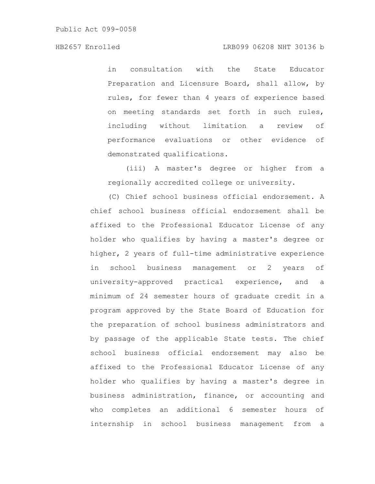in consultation with the State Educator Preparation and Licensure Board, shall allow, by rules, for fewer than 4 years of experience based on meeting standards set forth in such rules, including without limitation a review of performance evaluations or other evidence of demonstrated qualifications.

(iii) A master's degree or higher from a regionally accredited college or university.

(C) Chief school business official endorsement. A chief school business official endorsement shall be affixed to the Professional Educator License of any holder who qualifies by having a master's degree or higher, 2 years of full-time administrative experience in school business management or 2 years of university-approved practical experience, and a minimum of 24 semester hours of graduate credit in a program approved by the State Board of Education for the preparation of school business administrators and by passage of the applicable State tests. The chief school business official endorsement may also be affixed to the Professional Educator License of any holder who qualifies by having a master's degree in business administration, finance, or accounting and who completes an additional 6 semester hours of internship in school business management from a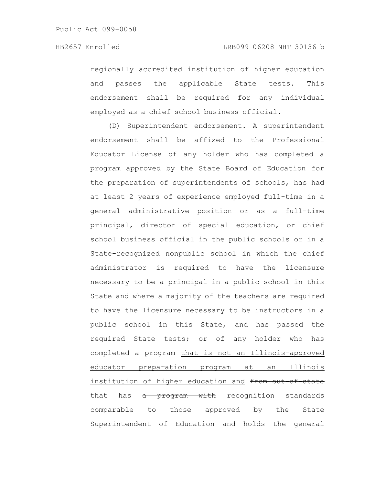regionally accredited institution of higher education and passes the applicable State tests. This endorsement shall be required for any individual employed as a chief school business official.

(D) Superintendent endorsement. A superintendent endorsement shall be affixed to the Professional Educator License of any holder who has completed a program approved by the State Board of Education for the preparation of superintendents of schools, has had at least 2 years of experience employed full-time in a general administrative position or as a full-time principal, director of special education, or chief school business official in the public schools or in a State-recognized nonpublic school in which the chief administrator is required to have the licensure necessary to be a principal in a public school in this State and where a majority of the teachers are required to have the licensure necessary to be instructors in a public school in this State, and has passed the required State tests; or of any holder who has completed a program that is not an Illinois-approved educator preparation program at an Illinois institution of higher education and from out-of-state that has a program with recognition standards comparable to those approved by the State Superintendent of Education and holds the general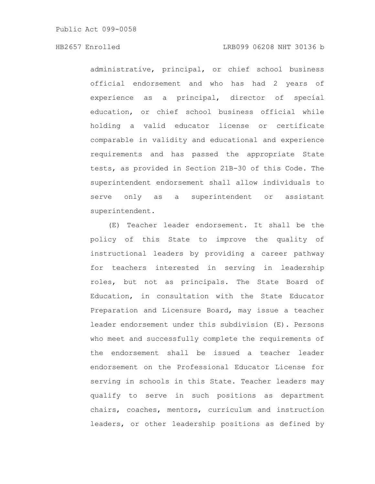administrative, principal, or chief school business official endorsement and who has had 2 years of experience as a principal, director of special education, or chief school business official while holding a valid educator license or certificate comparable in validity and educational and experience requirements and has passed the appropriate State tests, as provided in Section 21B-30 of this Code. The superintendent endorsement shall allow individuals to serve only as a superintendent or assistant superintendent.

(E) Teacher leader endorsement. It shall be the policy of this State to improve the quality of instructional leaders by providing a career pathway for teachers interested in serving in leadership roles, but not as principals. The State Board of Education, in consultation with the State Educator Preparation and Licensure Board, may issue a teacher leader endorsement under this subdivision (E). Persons who meet and successfully complete the requirements of the endorsement shall be issued a teacher leader endorsement on the Professional Educator License for serving in schools in this State. Teacher leaders may qualify to serve in such positions as department chairs, coaches, mentors, curriculum and instruction leaders, or other leadership positions as defined by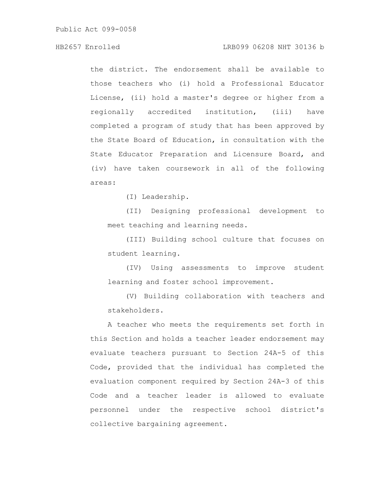# HB2657 Enrolled LRB099 06208 NHT 30136 b

the district. The endorsement shall be available to those teachers who (i) hold a Professional Educator License, (ii) hold a master's degree or higher from a regionally accredited institution, (iii) have completed a program of study that has been approved by the State Board of Education, in consultation with the State Educator Preparation and Licensure Board, and (iv) have taken coursework in all of the following areas:

(I) Leadership.

(II) Designing professional development to meet teaching and learning needs.

(III) Building school culture that focuses on student learning.

(IV) Using assessments to improve student learning and foster school improvement.

(V) Building collaboration with teachers and stakeholders.

A teacher who meets the requirements set forth in this Section and holds a teacher leader endorsement may evaluate teachers pursuant to Section 24A-5 of this Code, provided that the individual has completed the evaluation component required by Section 24A-3 of this Code and a teacher leader is allowed to evaluate personnel under the respective school district's collective bargaining agreement.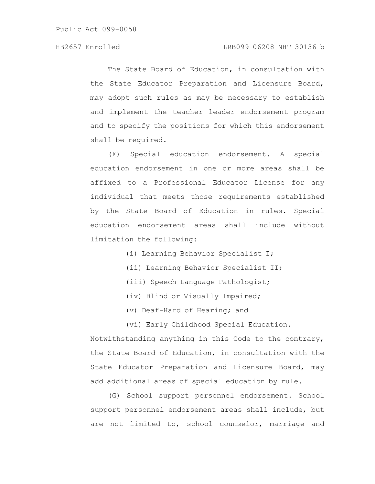The State Board of Education, in consultation with the State Educator Preparation and Licensure Board, may adopt such rules as may be necessary to establish and implement the teacher leader endorsement program and to specify the positions for which this endorsement shall be required.

(F) Special education endorsement. A special education endorsement in one or more areas shall be affixed to a Professional Educator License for any individual that meets those requirements established by the State Board of Education in rules. Special education endorsement areas shall include without limitation the following:

- (i) Learning Behavior Specialist I;
- (ii) Learning Behavior Specialist II;
- (iii) Speech Language Pathologist;
- (iv) Blind or Visually Impaired;
- (v) Deaf-Hard of Hearing; and
- (vi) Early Childhood Special Education.

Notwithstanding anything in this Code to the contrary, the State Board of Education, in consultation with the State Educator Preparation and Licensure Board, may add additional areas of special education by rule.

(G) School support personnel endorsement. School support personnel endorsement areas shall include, but are not limited to, school counselor, marriage and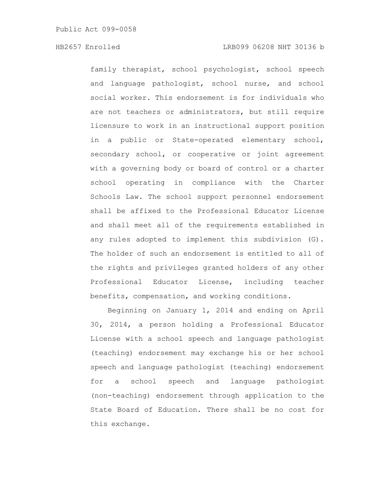family therapist, school psychologist, school speech and language pathologist, school nurse, and school social worker. This endorsement is for individuals who are not teachers or administrators, but still require licensure to work in an instructional support position in a public or State-operated elementary school, secondary school, or cooperative or joint agreement with a governing body or board of control or a charter school operating in compliance with the Charter Schools Law. The school support personnel endorsement shall be affixed to the Professional Educator License and shall meet all of the requirements established in any rules adopted to implement this subdivision (G). The holder of such an endorsement is entitled to all of the rights and privileges granted holders of any other Professional Educator License, including teacher benefits, compensation, and working conditions.

Beginning on January 1, 2014 and ending on April 30, 2014, a person holding a Professional Educator License with a school speech and language pathologist (teaching) endorsement may exchange his or her school speech and language pathologist (teaching) endorsement for a school speech and language pathologist (non-teaching) endorsement through application to the State Board of Education. There shall be no cost for this exchange.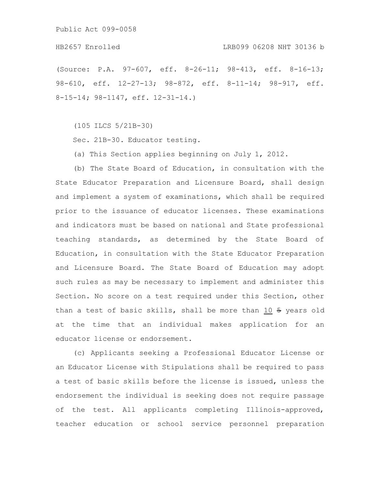### HB2657 Enrolled LRB099 06208 NHT 30136 b

(Source: P.A. 97-607, eff. 8-26-11; 98-413, eff. 8-16-13; 98-610, eff. 12-27-13; 98-872, eff. 8-11-14; 98-917, eff. 8-15-14; 98-1147, eff. 12-31-14.)

(105 ILCS 5/21B-30)

Sec. 21B-30. Educator testing.

(a) This Section applies beginning on July 1, 2012.

(b) The State Board of Education, in consultation with the State Educator Preparation and Licensure Board, shall design and implement a system of examinations, which shall be required prior to the issuance of educator licenses. These examinations and indicators must be based on national and State professional teaching standards, as determined by the State Board of Education, in consultation with the State Educator Preparation and Licensure Board. The State Board of Education may adopt such rules as may be necessary to implement and administer this Section. No score on a test required under this Section, other than a test of basic skills, shall be more than 10 5 years old at the time that an individual makes application for an educator license or endorsement.

(c) Applicants seeking a Professional Educator License or an Educator License with Stipulations shall be required to pass a test of basic skills before the license is issued, unless the endorsement the individual is seeking does not require passage of the test. All applicants completing Illinois-approved, teacher education or school service personnel preparation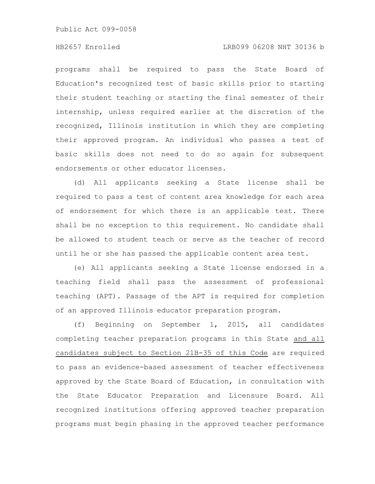### HB2657 Enrolled LRB099 06208 NHT 30136 b

programs shall be required to pass the State Board of Education's recognized test of basic skills prior to starting their student teaching or starting the final semester of their internship, unless required earlier at the discretion of the recognized, Illinois institution in which they are completing their approved program. An individual who passes a test of basic skills does not need to do so again for subsequent endorsements or other educator licenses.

(d) All applicants seeking a State license shall be required to pass a test of content area knowledge for each area of endorsement for which there is an applicable test. There shall be no exception to this requirement. No candidate shall be allowed to student teach or serve as the teacher of record until he or she has passed the applicable content area test.

(e) All applicants seeking a State license endorsed in a teaching field shall pass the assessment of professional teaching (APT). Passage of the APT is required for completion of an approved Illinois educator preparation program.

(f) Beginning on September 1, 2015, all candidates completing teacher preparation programs in this State and all candidates subject to Section 21B-35 of this Code are required to pass an evidence-based assessment of teacher effectiveness approved by the State Board of Education, in consultation with the State Educator Preparation and Licensure Board. All recognized institutions offering approved teacher preparation programs must begin phasing in the approved teacher performance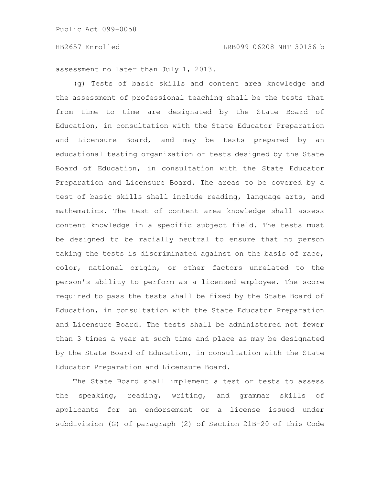assessment no later than July 1, 2013.

(g) Tests of basic skills and content area knowledge and the assessment of professional teaching shall be the tests that from time to time are designated by the State Board of Education, in consultation with the State Educator Preparation and Licensure Board, and may be tests prepared by an educational testing organization or tests designed by the State Board of Education, in consultation with the State Educator Preparation and Licensure Board. The areas to be covered by a test of basic skills shall include reading, language arts, and mathematics. The test of content area knowledge shall assess content knowledge in a specific subject field. The tests must be designed to be racially neutral to ensure that no person taking the tests is discriminated against on the basis of race, color, national origin, or other factors unrelated to the person's ability to perform as a licensed employee. The score required to pass the tests shall be fixed by the State Board of Education, in consultation with the State Educator Preparation and Licensure Board. The tests shall be administered not fewer than 3 times a year at such time and place as may be designated by the State Board of Education, in consultation with the State Educator Preparation and Licensure Board.

The State Board shall implement a test or tests to assess the speaking, reading, writing, and grammar skills of applicants for an endorsement or a license issued under subdivision (G) of paragraph (2) of Section 21B-20 of this Code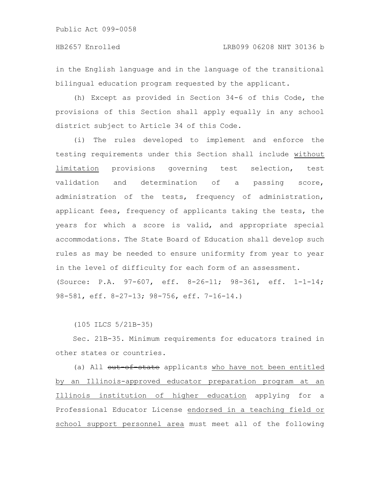in the English language and in the language of the transitional bilingual education program requested by the applicant.

(h) Except as provided in Section 34-6 of this Code, the provisions of this Section shall apply equally in any school district subject to Article 34 of this Code.

(i) The rules developed to implement and enforce the testing requirements under this Section shall include without limitation provisions governing test selection, test validation and determination of a passing score, administration of the tests, frequency of administration, applicant fees, frequency of applicants taking the tests, the years for which a score is valid, and appropriate special accommodations. The State Board of Education shall develop such rules as may be needed to ensure uniformity from year to year in the level of difficulty for each form of an assessment. (Source: P.A. 97-607, eff. 8-26-11; 98-361, eff. 1-1-14; 98-581, eff. 8-27-13; 98-756, eff. 7-16-14.)

(105 ILCS 5/21B-35)

Sec. 21B-35. Minimum requirements for educators trained in other states or countries.

(a) All out-of-state applicants who have not been entitled by an Illinois-approved educator preparation program at an Illinois institution of higher education applying for a Professional Educator License endorsed in a teaching field or school support personnel area must meet all of the following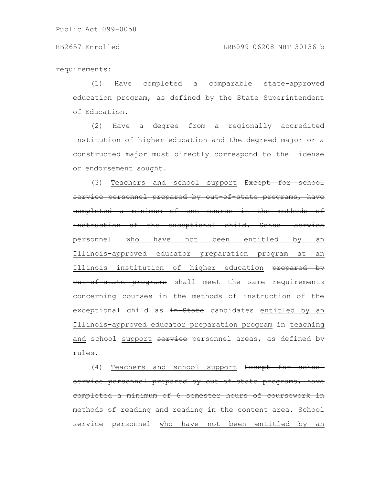requirements:

(1) Have completed a comparable state-approved education program, as defined by the State Superintendent of Education.

(2) Have a degree from a regionally accredited institution of higher education and the degreed major or a constructed major must directly correspond to the license or endorsement sought.

(3) Teachers and school support Except for school service personnel prepared by out of state programs, have completed a minimum of one course in the methods instruction of the exceptional child. School service personnel who have not been entitled by an Illinois-approved educator preparation program at an Illinois institution of higher education prepared by out of state programs shall meet the same requirements concerning courses in the methods of instruction of the exceptional child as in State candidates entitled by an Illinois-approved educator preparation program in teaching and school support service personnel areas, as defined by rules.

(4) Teachers and school support Except for school personnel prepared by out-of-state programs, completed a minimum of 6 semester hours of coursework methods of reading and reading in the content area. School service personnel who have not been entitled by an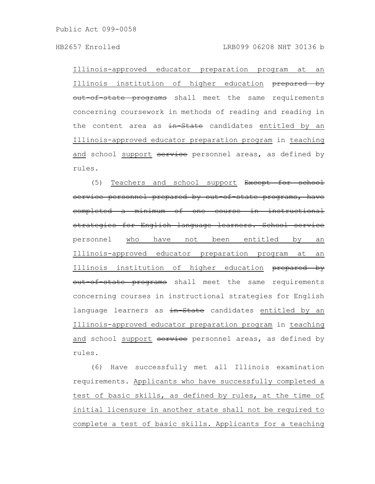#### HB2657 Enrolled LRB099 06208 NHT 30136 b

Illinois-approved educator preparation program at an Illinois institution of higher education prepared by out-of-state programs shall meet the same requirements concerning coursework in methods of reading and reading in the content area as in State candidates entitled by an Illinois-approved educator preparation program in teaching and school support service personnel areas, as defined by rules.

(5) Teachers and school support Except for school service personnel prepared by out of state programs, have completed a minimum of one course in instructional strategies for English language learners. School service personnel who have not been entitled by an Illinois-approved educator preparation program at an Illinois institution of higher education prepared by out of state programs shall meet the same requirements concerning courses in instructional strategies for English language learners as in State candidates entitled by an Illinois-approved educator preparation program in teaching and school support service personnel areas, as defined by rules.

(6) Have successfully met all Illinois examination requirements. Applicants who have successfully completed a test of basic skills, as defined by rules, at the time of initial licensure in another state shall not be required to complete a test of basic skills. Applicants for a teaching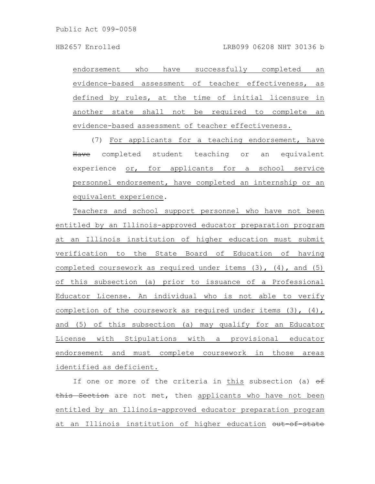endorsement who have successfully completed an evidence-based assessment of teacher effectiveness, as defined by rules, at the time of initial licensure in another state shall not be required to complete an evidence-based assessment of teacher effectiveness.

(7) For applicants for a teaching endorsement, have Have completed student teaching or an equivalent experience or, for applicants for a school service personnel endorsement, have completed an internship or an equivalent experience.

Teachers and school support personnel who have not been entitled by an Illinois-approved educator preparation program at an Illinois institution of higher education must submit verification to the State Board of Education of having completed coursework as required under items  $(3)$ ,  $(4)$ , and  $(5)$ of this subsection (a) prior to issuance of a Professional Educator License. An individual who is not able to verify completion of the coursework as required under items (3), (4), and (5) of this subsection (a) may qualify for an Educator License with Stipulations with a provisional educator endorsement and must complete coursework in those areas identified as deficient.

If one or more of the criteria in this subsection (a)  $\theta$ f this Section are not met, then applicants who have not been entitled by an Illinois-approved educator preparation program at an Illinois institution of higher education out of state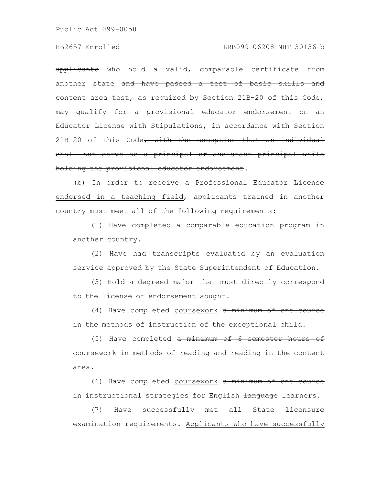# HB2657 Enrolled LRB099 06208 NHT 30136 b

applicants who hold a valid, comparable certificate from another state and have passed a test of basic skills and content area test, as required by Section 21B-20 of this Code, may qualify for a provisional educator endorsement on an Educator License with Stipulations, in accordance with Section 21B-20 of this Code, with the exception that an individual shall not serve as a principal or assistant principal while holding the provisional educator endorsement.

(b) In order to receive a Professional Educator License endorsed in a teaching field, applicants trained in another country must meet all of the following requirements:

(1) Have completed a comparable education program in another country.

(2) Have had transcripts evaluated by an evaluation service approved by the State Superintendent of Education.

(3) Hold a degreed major that must directly correspond to the license or endorsement sought.

(4) Have completed coursework a minimum of one course in the methods of instruction of the exceptional child.

(5) Have completed a minimum of 6 semester hours of coursework in methods of reading and reading in the content area.

(6) Have completed coursework a minimum of one course in instructional strategies for English Hanguage learners.

(7) Have successfully met all State licensure examination requirements. Applicants who have successfully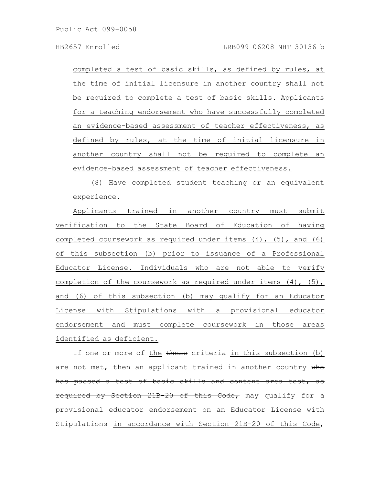completed a test of basic skills, as defined by rules, at the time of initial licensure in another country shall not be required to complete a test of basic skills. Applicants for a teaching endorsement who have successfully completed an evidence-based assessment of teacher effectiveness, as defined by rules, at the time of initial licensure in another country shall not be required to complete an evidence-based assessment of teacher effectiveness.

(8) Have completed student teaching or an equivalent experience.

Applicants trained in another country must submit verification to the State Board of Education of having completed coursework as required under items (4), (5), and (6) of this subsection (b) prior to issuance of a Professional Educator License. Individuals who are not able to verify completion of the coursework as required under items (4), (5), and (6) of this subsection (b) may qualify for an Educator License with Stipulations with a provisional educator endorsement and must complete coursework in those areas identified as deficient.

If one or more of the these criteria in this subsection (b) are not met, then an applicant trained in another country who has passed a test of basic skills and content required by Section 21B-20 of this Code, may qualify for a provisional educator endorsement on an Educator License with Stipulations in accordance with Section 21B-20 of this Code $\tau$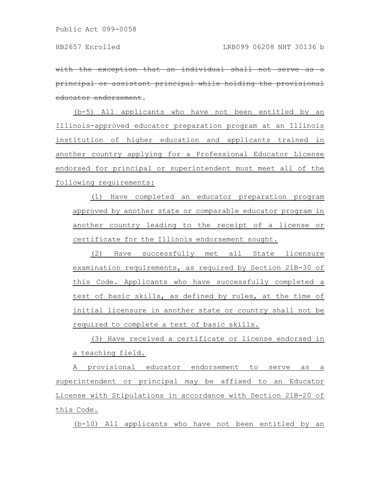with the exception that an individual shall principal or assistant principal while holding the provisional educator endorsement.

(b-5) All applicants who have not been entitled by an Illinois-approved educator preparation program at an Illinois institution of higher education and applicants trained in another country applying for a Professional Educator License endorsed for principal or superintendent must meet all of the following requirements:

(1) Have completed an educator preparation program approved by another state or comparable educator program in another country leading to the receipt of a license or certificate for the Illinois endorsement sought.

(2) Have successfully met all State licensure examination requirements, as required by Section 21B-30 of this Code. Applicants who have successfully completed a test of basic skills, as defined by rules, at the time of initial licensure in another state or country shall not be required to complete a test of basic skills.

(3) Have received a certificate or license endorsed in a teaching field.

A provisional educator endorsement to serve as a superintendent or principal may be affixed to an Educator License with Stipulations in accordance with Section 21B-20 of this Code.

(b-10) All applicants who have not been entitled by an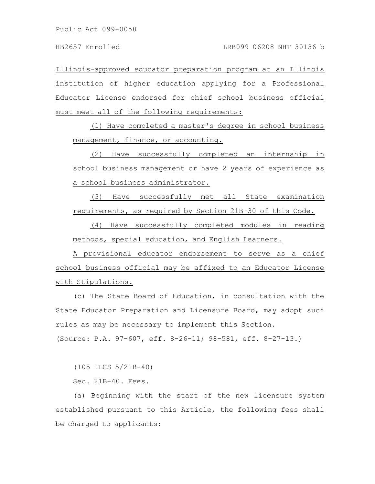Illinois-approved educator preparation program at an Illinois institution of higher education applying for a Professional Educator License endorsed for chief school business official must meet all of the following requirements:

(1) Have completed a master's degree in school business management, finance, or accounting.

(2) Have successfully completed an internship in school business management or have 2 years of experience as a school business administrator.

(3) Have successfully met all State examination requirements, as required by Section 21B-30 of this Code.

(4) Have successfully completed modules in reading methods, special education, and English Learners.

A provisional educator endorsement to serve as a chief school business official may be affixed to an Educator License with Stipulations.

(c) The State Board of Education, in consultation with the State Educator Preparation and Licensure Board, may adopt such rules as may be necessary to implement this Section. (Source: P.A. 97-607, eff. 8-26-11; 98-581, eff. 8-27-13.)

(105 ILCS 5/21B-40)

Sec. 21B-40. Fees.

(a) Beginning with the start of the new licensure system established pursuant to this Article, the following fees shall be charged to applicants: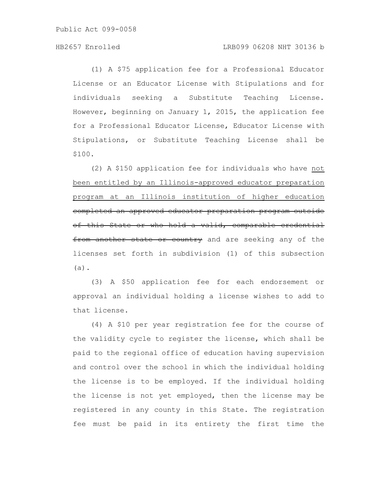(1) A \$75 application fee for a Professional Educator License or an Educator License with Stipulations and for individuals seeking a Substitute Teaching License. However, beginning on January 1, 2015, the application fee for a Professional Educator License, Educator License with Stipulations, or Substitute Teaching License shall be \$100.

(2) A \$150 application fee for individuals who have not been entitled by an Illinois-approved educator preparation program at an Illinois institution of higher education completed an approved educator preparation program outside of this State or who hold a valid, comparable credential from another state or country and are seeking any of the licenses set forth in subdivision (1) of this subsection (a).

(3) A \$50 application fee for each endorsement or approval an individual holding a license wishes to add to that license.

(4) A \$10 per year registration fee for the course of the validity cycle to register the license, which shall be paid to the regional office of education having supervision and control over the school in which the individual holding the license is to be employed. If the individual holding the license is not yet employed, then the license may be registered in any county in this State. The registration fee must be paid in its entirety the first time the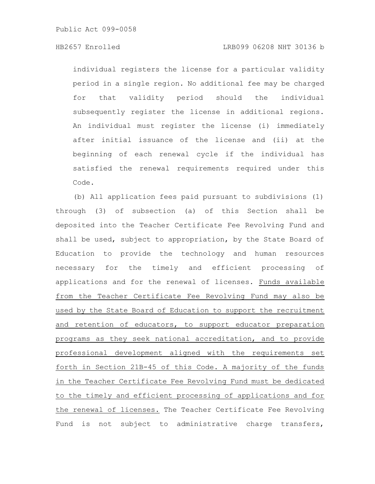individual registers the license for a particular validity period in a single region. No additional fee may be charged for that validity period should the individual subsequently register the license in additional regions. An individual must register the license (i) immediately after initial issuance of the license and (ii) at the beginning of each renewal cycle if the individual has satisfied the renewal requirements required under this Code.

(b) All application fees paid pursuant to subdivisions (1) through (3) of subsection (a) of this Section shall be deposited into the Teacher Certificate Fee Revolving Fund and shall be used, subject to appropriation, by the State Board of Education to provide the technology and human resources necessary for the timely and efficient processing of applications and for the renewal of licenses. Funds available from the Teacher Certificate Fee Revolving Fund may also be used by the State Board of Education to support the recruitment and retention of educators, to support educator preparation programs as they seek national accreditation, and to provide professional development aligned with the requirements set forth in Section 21B-45 of this Code. A majority of the funds in the Teacher Certificate Fee Revolving Fund must be dedicated to the timely and efficient processing of applications and for the renewal of licenses. The Teacher Certificate Fee Revolving Fund is not subject to administrative charge transfers,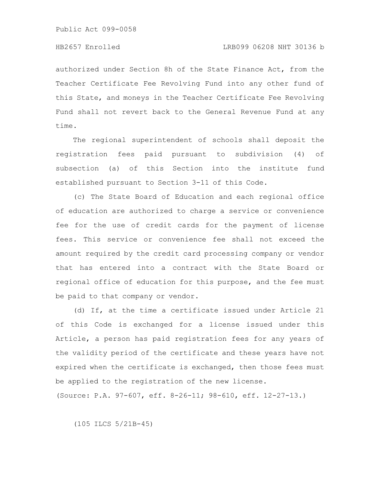authorized under Section 8h of the State Finance Act, from the Teacher Certificate Fee Revolving Fund into any other fund of this State, and moneys in the Teacher Certificate Fee Revolving Fund shall not revert back to the General Revenue Fund at any time.

The regional superintendent of schools shall deposit the registration fees paid pursuant to subdivision (4) of subsection (a) of this Section into the institute fund established pursuant to Section 3-11 of this Code.

(c) The State Board of Education and each regional office of education are authorized to charge a service or convenience fee for the use of credit cards for the payment of license fees. This service or convenience fee shall not exceed the amount required by the credit card processing company or vendor that has entered into a contract with the State Board or regional office of education for this purpose, and the fee must be paid to that company or vendor.

(d) If, at the time a certificate issued under Article 21 of this Code is exchanged for a license issued under this Article, a person has paid registration fees for any years of the validity period of the certificate and these years have not expired when the certificate is exchanged, then those fees must be applied to the registration of the new license. (Source: P.A. 97-607, eff. 8-26-11; 98-610, eff. 12-27-13.)

(105 ILCS 5/21B-45)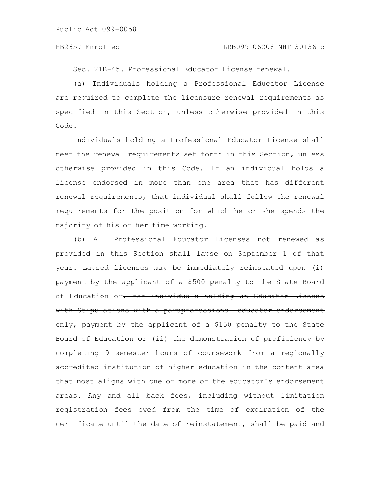Sec. 21B-45. Professional Educator License renewal.

(a) Individuals holding a Professional Educator License are required to complete the licensure renewal requirements as specified in this Section, unless otherwise provided in this Code.

Individuals holding a Professional Educator License shall meet the renewal requirements set forth in this Section, unless otherwise provided in this Code. If an individual holds a license endorsed in more than one area that has different renewal requirements, that individual shall follow the renewal requirements for the position for which he or she spends the majority of his or her time working.

(b) All Professional Educator Licenses not renewed as provided in this Section shall lapse on September 1 of that year. Lapsed licenses may be immediately reinstated upon (i) payment by the applicant of a \$500 penalty to the State Board of Education or, for individuals holding an Educator License with Stipulations with a paraprofessional educator endorsement only, payment by the applicant of a \$150 penalty to the State Board of Education or (ii) the demonstration of proficiency by completing 9 semester hours of coursework from a regionally accredited institution of higher education in the content area that most aligns with one or more of the educator's endorsement areas. Any and all back fees, including without limitation registration fees owed from the time of expiration of the certificate until the date of reinstatement, shall be paid and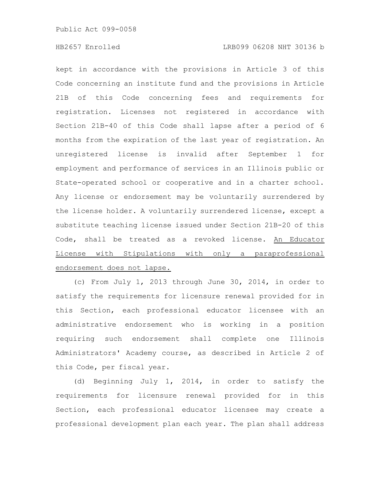kept in accordance with the provisions in Article 3 of this Code concerning an institute fund and the provisions in Article 21B of this Code concerning fees and requirements for registration. Licenses not registered in accordance with Section 21B-40 of this Code shall lapse after a period of 6 months from the expiration of the last year of registration. An unregistered license is invalid after September 1 for employment and performance of services in an Illinois public or State-operated school or cooperative and in a charter school. Any license or endorsement may be voluntarily surrendered by the license holder. A voluntarily surrendered license, except a substitute teaching license issued under Section 21B-20 of this Code, shall be treated as a revoked license. An Educator License with Stipulations with only a paraprofessional endorsement does not lapse.

(c) From July 1, 2013 through June 30, 2014, in order to satisfy the requirements for licensure renewal provided for in this Section, each professional educator licensee with an administrative endorsement who is working in a position requiring such endorsement shall complete one Illinois Administrators' Academy course, as described in Article 2 of this Code, per fiscal year.

(d) Beginning July 1, 2014, in order to satisfy the requirements for licensure renewal provided for in this Section, each professional educator licensee may create a professional development plan each year. The plan shall address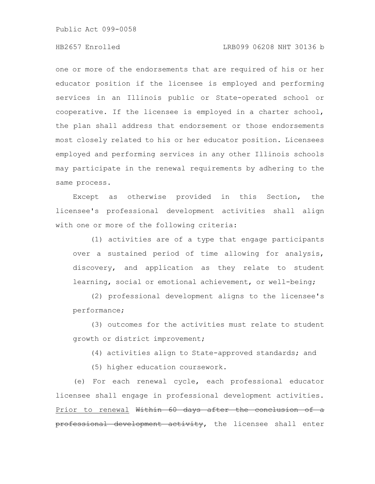# HB2657 Enrolled LRB099 06208 NHT 30136 b

one or more of the endorsements that are required of his or her educator position if the licensee is employed and performing services in an Illinois public or State-operated school or cooperative. If the licensee is employed in a charter school, the plan shall address that endorsement or those endorsements most closely related to his or her educator position. Licensees employed and performing services in any other Illinois schools may participate in the renewal requirements by adhering to the same process.

Except as otherwise provided in this Section, the licensee's professional development activities shall align with one or more of the following criteria:

(1) activities are of a type that engage participants over a sustained period of time allowing for analysis, discovery, and application as they relate to student learning, social or emotional achievement, or well-being;

(2) professional development aligns to the licensee's performance;

(3) outcomes for the activities must relate to student growth or district improvement;

(4) activities align to State-approved standards; and

(5) higher education coursework.

(e) For each renewal cycle, each professional educator licensee shall engage in professional development activities. Prior to renewal Within 60 days after the conclusion of a professional development activity, the licensee shall enter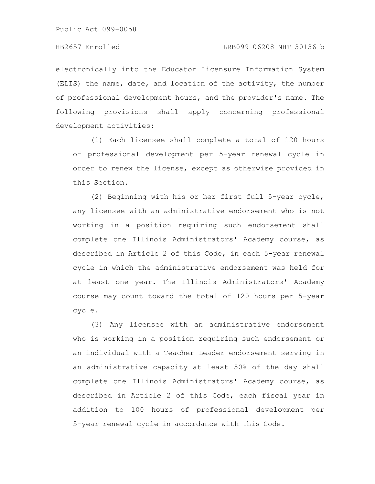electronically into the Educator Licensure Information System (ELIS) the name, date, and location of the activity, the number of professional development hours, and the provider's name. The following provisions shall apply concerning professional development activities:

(1) Each licensee shall complete a total of 120 hours of professional development per 5-year renewal cycle in order to renew the license, except as otherwise provided in this Section.

(2) Beginning with his or her first full 5-year cycle, any licensee with an administrative endorsement who is not working in a position requiring such endorsement shall complete one Illinois Administrators' Academy course, as described in Article 2 of this Code, in each 5-year renewal cycle in which the administrative endorsement was held for at least one year. The Illinois Administrators' Academy course may count toward the total of 120 hours per 5-year cycle.

(3) Any licensee with an administrative endorsement who is working in a position requiring such endorsement or an individual with a Teacher Leader endorsement serving in an administrative capacity at least 50% of the day shall complete one Illinois Administrators' Academy course, as described in Article 2 of this Code, each fiscal year in addition to 100 hours of professional development per 5-year renewal cycle in accordance with this Code.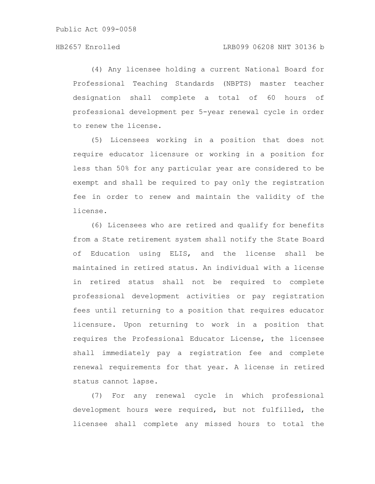(4) Any licensee holding a current National Board for Professional Teaching Standards (NBPTS) master teacher designation shall complete a total of 60 hours of professional development per 5-year renewal cycle in order to renew the license.

(5) Licensees working in a position that does not require educator licensure or working in a position for less than 50% for any particular year are considered to be exempt and shall be required to pay only the registration fee in order to renew and maintain the validity of the license.

(6) Licensees who are retired and qualify for benefits from a State retirement system shall notify the State Board of Education using ELIS, and the license shall be maintained in retired status. An individual with a license in retired status shall not be required to complete professional development activities or pay registration fees until returning to a position that requires educator licensure. Upon returning to work in a position that requires the Professional Educator License, the licensee shall immediately pay a registration fee and complete renewal requirements for that year. A license in retired status cannot lapse.

(7) For any renewal cycle in which professional development hours were required, but not fulfilled, the licensee shall complete any missed hours to total the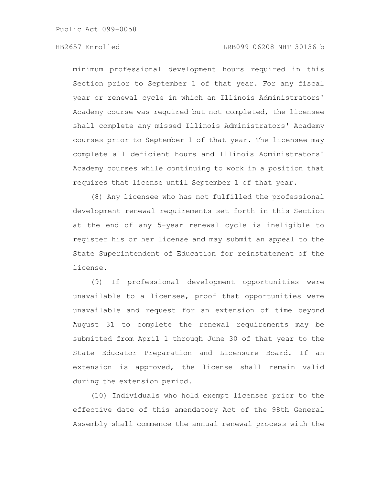minimum professional development hours required in this Section prior to September 1 of that year. For any fiscal year or renewal cycle in which an Illinois Administrators' Academy course was required but not completed, the licensee shall complete any missed Illinois Administrators' Academy courses prior to September 1 of that year. The licensee may complete all deficient hours and Illinois Administrators' Academy courses while continuing to work in a position that requires that license until September 1 of that year.

(8) Any licensee who has not fulfilled the professional development renewal requirements set forth in this Section at the end of any 5-year renewal cycle is ineligible to register his or her license and may submit an appeal to the State Superintendent of Education for reinstatement of the license.

(9) If professional development opportunities were unavailable to a licensee, proof that opportunities were unavailable and request for an extension of time beyond August 31 to complete the renewal requirements may be submitted from April 1 through June 30 of that year to the State Educator Preparation and Licensure Board. If an extension is approved, the license shall remain valid during the extension period.

(10) Individuals who hold exempt licenses prior to the effective date of this amendatory Act of the 98th General Assembly shall commence the annual renewal process with the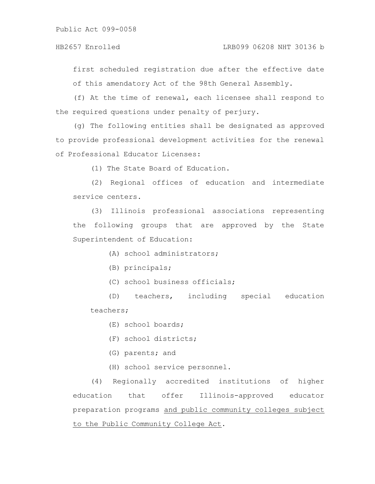# HB2657 Enrolled LRB099 06208 NHT 30136 b

first scheduled registration due after the effective date of this amendatory Act of the 98th General Assembly.

(f) At the time of renewal, each licensee shall respond to the required questions under penalty of perjury.

(g) The following entities shall be designated as approved to provide professional development activities for the renewal of Professional Educator Licenses:

(1) The State Board of Education.

(2) Regional offices of education and intermediate service centers.

(3) Illinois professional associations representing the following groups that are approved by the State Superintendent of Education:

(A) school administrators;

(B) principals;

(C) school business officials;

(D) teachers, including special education teachers;

(E) school boards;

(F) school districts;

(G) parents; and

(H) school service personnel.

(4) Regionally accredited institutions of higher education that offer Illinois-approved educator preparation programs and public community colleges subject to the Public Community College Act.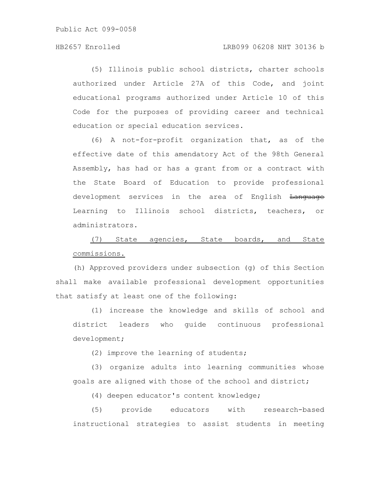(5) Illinois public school districts, charter schools authorized under Article 27A of this Code, and joint educational programs authorized under Article 10 of this Code for the purposes of providing career and technical education or special education services.

(6) A not-for-profit organization that, as of the effective date of this amendatory Act of the 98th General Assembly, has had or has a grant from or a contract with the State Board of Education to provide professional development services in the area of English Language Learning to Illinois school districts, teachers, or administrators.

(7) State agencies, State boards, and State commissions.

(h) Approved providers under subsection (g) of this Section shall make available professional development opportunities that satisfy at least one of the following:

(1) increase the knowledge and skills of school and district leaders who guide continuous professional development;

(2) improve the learning of students;

(3) organize adults into learning communities whose goals are aligned with those of the school and district;

(4) deepen educator's content knowledge;

(5) provide educators with research-based instructional strategies to assist students in meeting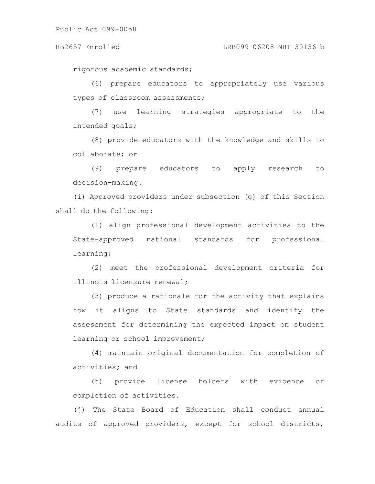rigorous academic standards;

(6) prepare educators to appropriately use various types of classroom assessments;

(7) use learning strategies appropriate to the intended goals;

(8) provide educators with the knowledge and skills to collaborate; or

(9) prepare educators to apply research to decision-making.

(i) Approved providers under subsection (g) of this Section shall do the following:

(1) align professional development activities to the State-approved national standards for professional learning;

(2) meet the professional development criteria for Illinois licensure renewal;

(3) produce a rationale for the activity that explains how it aligns to State standards and identify the assessment for determining the expected impact on student learning or school improvement;

(4) maintain original documentation for completion of activities; and

(5) provide license holders with evidence of completion of activities.

(j) The State Board of Education shall conduct annual audits of approved providers, except for school districts,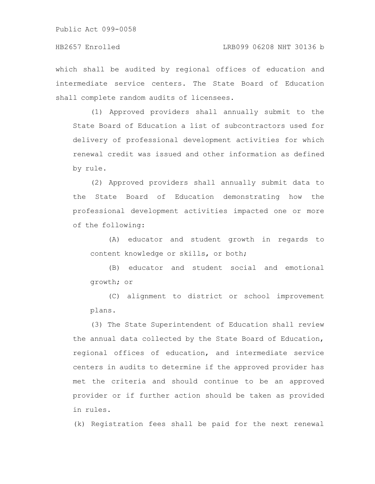which shall be audited by regional offices of education and intermediate service centers. The State Board of Education shall complete random audits of licensees.

(1) Approved providers shall annually submit to the State Board of Education a list of subcontractors used for delivery of professional development activities for which renewal credit was issued and other information as defined by rule.

(2) Approved providers shall annually submit data to the State Board of Education demonstrating how the professional development activities impacted one or more of the following:

(A) educator and student growth in regards to content knowledge or skills, or both;

(B) educator and student social and emotional growth; or

(C) alignment to district or school improvement plans.

(3) The State Superintendent of Education shall review the annual data collected by the State Board of Education, regional offices of education, and intermediate service centers in audits to determine if the approved provider has met the criteria and should continue to be an approved provider or if further action should be taken as provided in rules.

(k) Registration fees shall be paid for the next renewal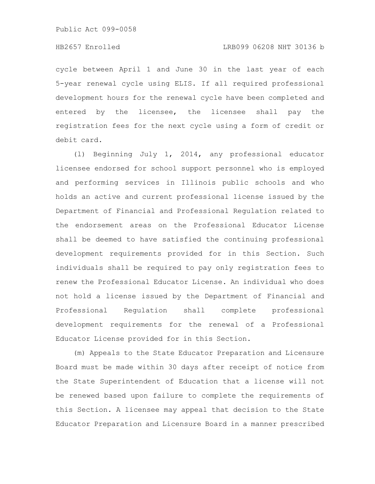cycle between April 1 and June 30 in the last year of each 5-year renewal cycle using ELIS. If all required professional development hours for the renewal cycle have been completed and entered by the licensee, the licensee shall pay the registration fees for the next cycle using a form of credit or debit card.

(l) Beginning July 1, 2014, any professional educator licensee endorsed for school support personnel who is employed and performing services in Illinois public schools and who holds an active and current professional license issued by the Department of Financial and Professional Regulation related to the endorsement areas on the Professional Educator License shall be deemed to have satisfied the continuing professional development requirements provided for in this Section. Such individuals shall be required to pay only registration fees to renew the Professional Educator License. An individual who does not hold a license issued by the Department of Financial and Professional Regulation shall complete professional development requirements for the renewal of a Professional Educator License provided for in this Section.

(m) Appeals to the State Educator Preparation and Licensure Board must be made within 30 days after receipt of notice from the State Superintendent of Education that a license will not be renewed based upon failure to complete the requirements of this Section. A licensee may appeal that decision to the State Educator Preparation and Licensure Board in a manner prescribed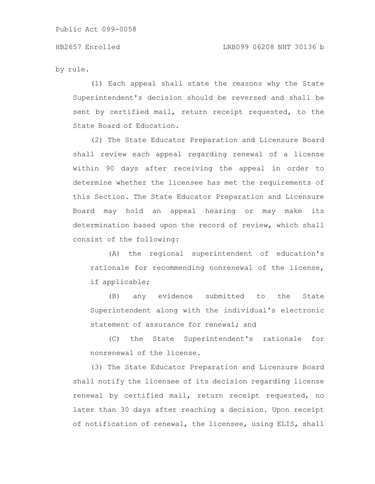by rule.

(1) Each appeal shall state the reasons why the State Superintendent's decision should be reversed and shall be sent by certified mail, return receipt requested, to the State Board of Education.

(2) The State Educator Preparation and Licensure Board shall review each appeal regarding renewal of a license within 90 days after receiving the appeal in order to determine whether the licensee has met the requirements of this Section. The State Educator Preparation and Licensure Board may hold an appeal hearing or may make its determination based upon the record of review, which shall consist of the following:

(A) the regional superintendent of education's rationale for recommending nonrenewal of the license, if applicable;

(B) any evidence submitted to the State Superintendent along with the individual's electronic statement of assurance for renewal; and

(C) the State Superintendent's rationale for nonrenewal of the license.

(3) The State Educator Preparation and Licensure Board shall notify the licensee of its decision regarding license renewal by certified mail, return receipt requested, no later than 30 days after reaching a decision. Upon receipt of notification of renewal, the licensee, using ELIS, shall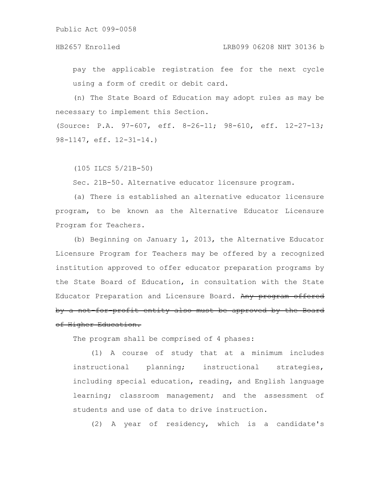### HB2657 Enrolled LRB099 06208 NHT 30136 b

pay the applicable registration fee for the next cycle using a form of credit or debit card.

(n) The State Board of Education may adopt rules as may be necessary to implement this Section.

(Source: P.A. 97-607, eff. 8-26-11; 98-610, eff. 12-27-13; 98-1147, eff. 12-31-14.)

(105 ILCS 5/21B-50)

Sec. 21B-50. Alternative educator licensure program.

(a) There is established an alternative educator licensure program, to be known as the Alternative Educator Licensure Program for Teachers.

(b) Beginning on January 1, 2013, the Alternative Educator Licensure Program for Teachers may be offered by a recognized institution approved to offer educator preparation programs by the State Board of Education, in consultation with the State Educator Preparation and Licensure Board. Any program offered by a not for profit entity also must be approved by the Board of Higher Education.

The program shall be comprised of 4 phases:

(1) A course of study that at a minimum includes instructional planning; instructional strategies, including special education, reading, and English language learning; classroom management; and the assessment of students and use of data to drive instruction.

(2) A year of residency, which is a candidate's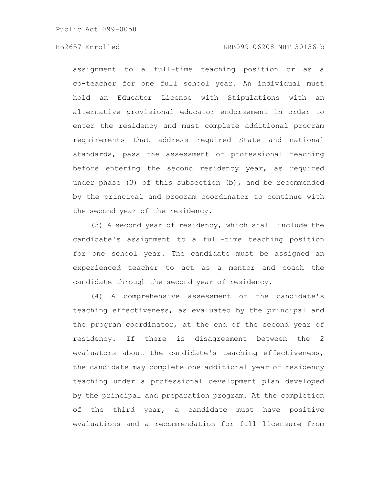assignment to a full-time teaching position or as a co-teacher for one full school year. An individual must hold an Educator License with Stipulations with an alternative provisional educator endorsement in order to enter the residency and must complete additional program requirements that address required State and national standards, pass the assessment of professional teaching before entering the second residency year, as required under phase  $(3)$  of this subsection  $(b)$ , and be recommended by the principal and program coordinator to continue with the second year of the residency.

(3) A second year of residency, which shall include the candidate's assignment to a full-time teaching position for one school year. The candidate must be assigned an experienced teacher to act as a mentor and coach the candidate through the second year of residency.

(4) A comprehensive assessment of the candidate's teaching effectiveness, as evaluated by the principal and the program coordinator, at the end of the second year of residency. If there is disagreement between the 2 evaluators about the candidate's teaching effectiveness, the candidate may complete one additional year of residency teaching under a professional development plan developed by the principal and preparation program. At the completion of the third year, a candidate must have positive evaluations and a recommendation for full licensure from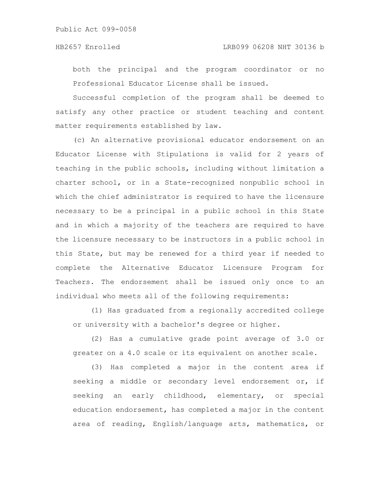both the principal and the program coordinator or no Professional Educator License shall be issued.

Successful completion of the program shall be deemed to satisfy any other practice or student teaching and content matter requirements established by law.

(c) An alternative provisional educator endorsement on an Educator License with Stipulations is valid for 2 years of teaching in the public schools, including without limitation a charter school, or in a State-recognized nonpublic school in which the chief administrator is required to have the licensure necessary to be a principal in a public school in this State and in which a majority of the teachers are required to have the licensure necessary to be instructors in a public school in this State, but may be renewed for a third year if needed to complete the Alternative Educator Licensure Program for Teachers. The endorsement shall be issued only once to an individual who meets all of the following requirements:

(1) Has graduated from a regionally accredited college or university with a bachelor's degree or higher.

(2) Has a cumulative grade point average of 3.0 or greater on a 4.0 scale or its equivalent on another scale.

(3) Has completed a major in the content area if seeking a middle or secondary level endorsement or, if seeking an early childhood, elementary, or special education endorsement, has completed a major in the content area of reading, English/language arts, mathematics, or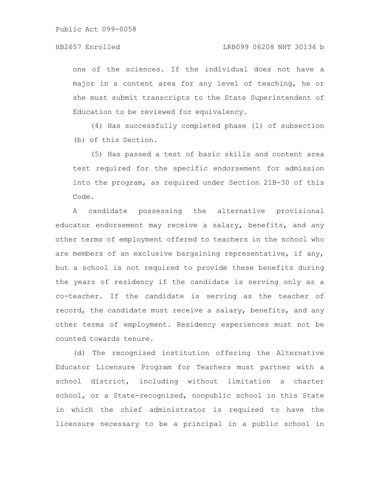one of the sciences. If the individual does not have a major in a content area for any level of teaching, he or she must submit transcripts to the State Superintendent of Education to be reviewed for equivalency.

(4) Has successfully completed phase (1) of subsection (b) of this Section.

(5) Has passed a test of basic skills and content area test required for the specific endorsement for admission into the program, as required under Section 21B-30 of this Code.

A candidate possessing the alternative provisional educator endorsement may receive a salary, benefits, and any other terms of employment offered to teachers in the school who are members of an exclusive bargaining representative, if any, but a school is not required to provide these benefits during the years of residency if the candidate is serving only as a co-teacher. If the candidate is serving as the teacher of record, the candidate must receive a salary, benefits, and any other terms of employment. Residency experiences must not be counted towards tenure.

(d) The recognized institution offering the Alternative Educator Licensure Program for Teachers must partner with a school district, including without limitation a charter school, or a State-recognized, nonpublic school in this State in which the chief administrator is required to have the licensure necessary to be a principal in a public school in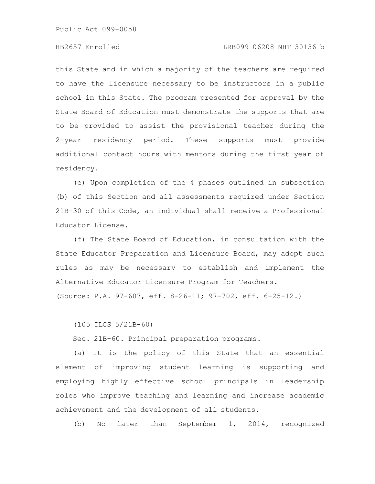# HB2657 Enrolled LRB099 06208 NHT 30136 b

this State and in which a majority of the teachers are required to have the licensure necessary to be instructors in a public school in this State. The program presented for approval by the State Board of Education must demonstrate the supports that are to be provided to assist the provisional teacher during the 2-year residency period. These supports must provide additional contact hours with mentors during the first year of residency.

(e) Upon completion of the 4 phases outlined in subsection (b) of this Section and all assessments required under Section 21B-30 of this Code, an individual shall receive a Professional Educator License.

(f) The State Board of Education, in consultation with the State Educator Preparation and Licensure Board, may adopt such rules as may be necessary to establish and implement the Alternative Educator Licensure Program for Teachers.

(Source: P.A. 97-607, eff. 8-26-11; 97-702, eff. 6-25-12.)

(105 ILCS 5/21B-60)

Sec. 21B-60. Principal preparation programs.

(a) It is the policy of this State that an essential element of improving student learning is supporting and employing highly effective school principals in leadership roles who improve teaching and learning and increase academic achievement and the development of all students.

(b) No later than September 1, 2014, recognized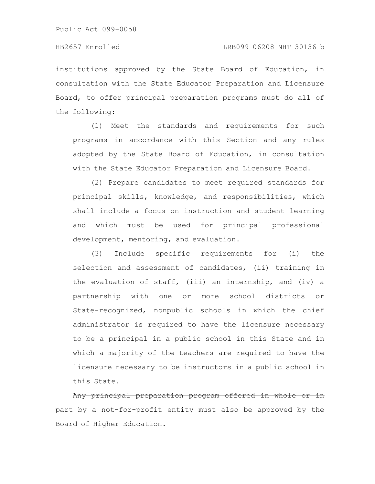institutions approved by the State Board of Education, in consultation with the State Educator Preparation and Licensure Board, to offer principal preparation programs must do all of the following:

(1) Meet the standards and requirements for such programs in accordance with this Section and any rules adopted by the State Board of Education, in consultation with the State Educator Preparation and Licensure Board.

(2) Prepare candidates to meet required standards for principal skills, knowledge, and responsibilities, which shall include a focus on instruction and student learning and which must be used for principal professional development, mentoring, and evaluation.

(3) Include specific requirements for (i) the selection and assessment of candidates, (ii) training in the evaluation of staff, (iii) an internship, and (iv) a partnership with one or more school districts or State-recognized, nonpublic schools in which the chief administrator is required to have the licensure necessary to be a principal in a public school in this State and in which a majority of the teachers are required to have the licensure necessary to be instructors in a public school in this State.

Any principal preparation program offered in whole part by a not-for-profit entity must also be approved by ard of Higher Education.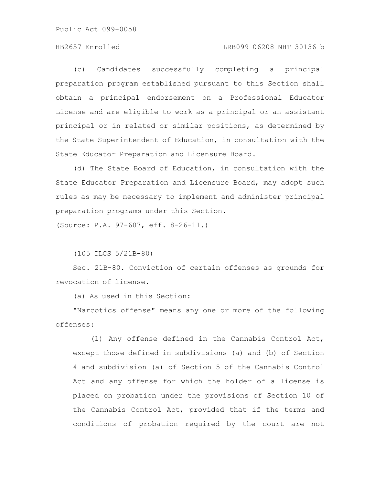# HB2657 Enrolled LRB099 06208 NHT 30136 b

(c) Candidates successfully completing a principal preparation program established pursuant to this Section shall obtain a principal endorsement on a Professional Educator License and are eligible to work as a principal or an assistant principal or in related or similar positions, as determined by the State Superintendent of Education, in consultation with the State Educator Preparation and Licensure Board.

(d) The State Board of Education, in consultation with the State Educator Preparation and Licensure Board, may adopt such rules as may be necessary to implement and administer principal preparation programs under this Section.

(Source: P.A. 97-607, eff. 8-26-11.)

(105 ILCS 5/21B-80)

Sec. 21B-80. Conviction of certain offenses as grounds for revocation of license.

(a) As used in this Section:

"Narcotics offense" means any one or more of the following offenses:

(1) Any offense defined in the Cannabis Control Act, except those defined in subdivisions (a) and (b) of Section 4 and subdivision (a) of Section 5 of the Cannabis Control Act and any offense for which the holder of a license is placed on probation under the provisions of Section 10 of the Cannabis Control Act, provided that if the terms and conditions of probation required by the court are not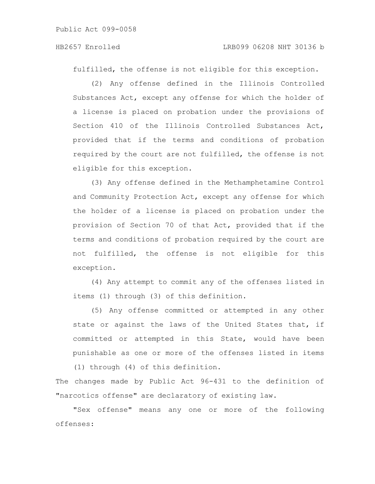fulfilled, the offense is not eligible for this exception.

(2) Any offense defined in the Illinois Controlled Substances Act, except any offense for which the holder of a license is placed on probation under the provisions of Section 410 of the Illinois Controlled Substances Act, provided that if the terms and conditions of probation required by the court are not fulfilled, the offense is not eligible for this exception.

(3) Any offense defined in the Methamphetamine Control and Community Protection Act, except any offense for which the holder of a license is placed on probation under the provision of Section 70 of that Act, provided that if the terms and conditions of probation required by the court are not fulfilled, the offense is not eligible for this exception.

(4) Any attempt to commit any of the offenses listed in items (1) through (3) of this definition.

(5) Any offense committed or attempted in any other state or against the laws of the United States that, if committed or attempted in this State, would have been punishable as one or more of the offenses listed in items

(1) through (4) of this definition.

The changes made by Public Act 96-431 to the definition of "narcotics offense" are declaratory of existing law.

"Sex offense" means any one or more of the following offenses: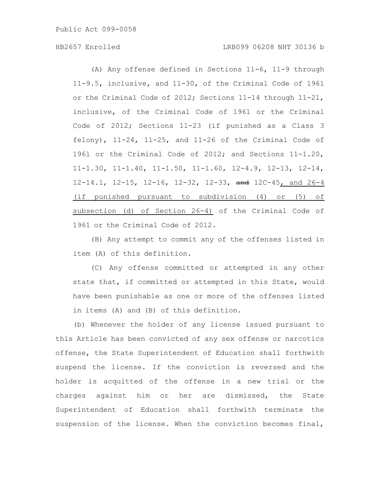# HB2657 Enrolled LRB099 06208 NHT 30136 b

(A) Any offense defined in Sections 11-6, 11-9 through 11-9.5, inclusive, and 11-30, of the Criminal Code of 1961 or the Criminal Code of 2012; Sections 11-14 through 11-21, inclusive, of the Criminal Code of 1961 or the Criminal Code of 2012; Sections 11-23 (if punished as a Class 3 felony),  $11-24$ ,  $11-25$ , and  $11-26$  of the Criminal Code of 1961 or the Criminal Code of 2012; and Sections 11-1.20, 11-1.30, 11-1.40, 11-1.50, 11-1.60, 12-4.9, 12-13, 12-14, 12-14.1, 12-15, 12-16, 12-32, 12-33, and 12C-45, and 26-4 (if punished pursuant to subdivision (4) or (5) of subsection (d) of Section 26-4) of the Criminal Code of 1961 or the Criminal Code of 2012.

(B) Any attempt to commit any of the offenses listed in item (A) of this definition.

(C) Any offense committed or attempted in any other state that, if committed or attempted in this State, would have been punishable as one or more of the offenses listed in items (A) and (B) of this definition.

(b) Whenever the holder of any license issued pursuant to this Article has been convicted of any sex offense or narcotics offense, the State Superintendent of Education shall forthwith suspend the license. If the conviction is reversed and the holder is acquitted of the offense in a new trial or the charges against him or her are dismissed, the State Superintendent of Education shall forthwith terminate the suspension of the license. When the conviction becomes final,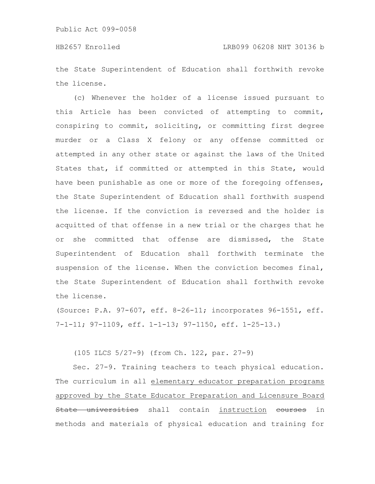the State Superintendent of Education shall forthwith revoke the license.

(c) Whenever the holder of a license issued pursuant to this Article has been convicted of attempting to commit, conspiring to commit, soliciting, or committing first degree murder or a Class X felony or any offense committed or attempted in any other state or against the laws of the United States that, if committed or attempted in this State, would have been punishable as one or more of the foregoing offenses, the State Superintendent of Education shall forthwith suspend the license. If the conviction is reversed and the holder is acquitted of that offense in a new trial or the charges that he or she committed that offense are dismissed, the State Superintendent of Education shall forthwith terminate the suspension of the license. When the conviction becomes final, the State Superintendent of Education shall forthwith revoke the license.

(Source: P.A. 97-607, eff. 8-26-11; incorporates 96-1551, eff. 7-1-11; 97-1109, eff. 1-1-13; 97-1150, eff. 1-25-13.)

(105 ILCS 5/27-9) (from Ch. 122, par. 27-9)

Sec. 27-9. Training teachers to teach physical education. The curriculum in all elementary educator preparation programs approved by the State Educator Preparation and Licensure Board State universities shall contain instruction eourses in methods and materials of physical education and training for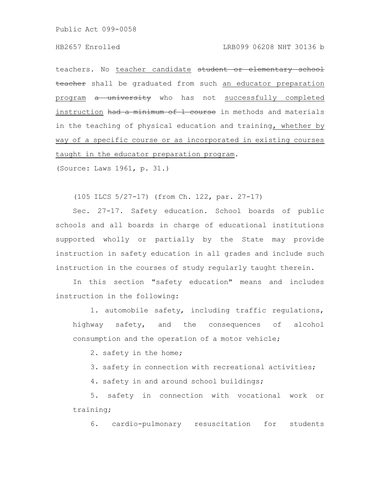#### HB2657 Enrolled LRB099 06208 NHT 30136 b

teachers. No teacher candidate student or elementary school teacher shall be graduated from such an educator preparation program a university who has not successfully completed instruction had a minimum of 1 course in methods and materials in the teaching of physical education and training, whether by way of a specific course or as incorporated in existing courses taught in the educator preparation program.

(Source: Laws 1961, p. 31.)

(105 ILCS 5/27-17) (from Ch. 122, par. 27-17)

Sec. 27-17. Safety education. School boards of public schools and all boards in charge of educational institutions supported wholly or partially by the State may provide instruction in safety education in all grades and include such instruction in the courses of study regularly taught therein.

In this section "safety education" means and includes instruction in the following:

1. automobile safety, including traffic regulations, highway safety, and the consequences of alcohol consumption and the operation of a motor vehicle;

2. safety in the home;

3. safety in connection with recreational activities;

4. safety in and around school buildings;

5. safety in connection with vocational work or training;

6. cardio-pulmonary resuscitation for students